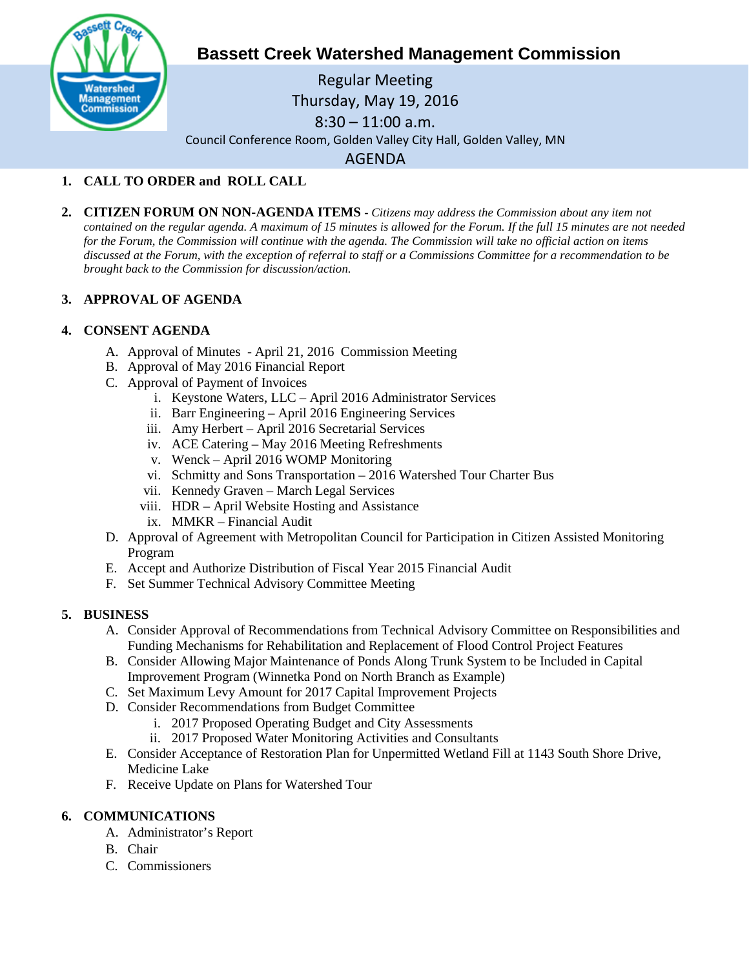

# **Bassett Creek Watershed Management Commission**

Regular Meeting Thursday, May 19, 2016 8:30 – 11:00 a.m. Council Conference Room, Golden Valley City Hall, Golden Valley, MN AGENDA

# **1. CALL TO ORDER and ROLL CALL**

**2. CITIZEN FORUM ON NON-AGENDA ITEMS -** *Citizens may address the Commission about any item not contained on the regular agenda. A maximum of 15 minutes is allowed for the Forum. If the full 15 minutes are not needed for the Forum, the Commission will continue with the agenda. The Commission will take no official action on items discussed at the Forum, with the exception of referral to staff or a Commissions Committee for a recommendation to be brought back to the Commission for discussion/action.*

# **3. APPROVAL OF AGENDA**

# **4. CONSENT AGENDA**

- A. Approval of Minutes April 21, 2016 Commission Meeting
- B. Approval of May 2016 Financial Report
- C. Approval of Payment of Invoices
	- i. Keystone Waters, LLC April 2016 Administrator Services
	- ii. Barr Engineering April 2016 Engineering Services
	- iii. Amy Herbert April 2016 Secretarial Services
	- iv. ACE Catering May 2016 Meeting Refreshments
	- v. Wenck April 2016 WOMP Monitoring
	- vi. Schmitty and Sons Transportation 2016 Watershed Tour Charter Bus
	- vii. Kennedy Graven March Legal Services
	- viii. HDR April Website Hosting and Assistance
	- ix. MMKR Financial Audit
- D. Approval of Agreement with Metropolitan Council for Participation in Citizen Assisted Monitoring Program
- E. Accept and Authorize Distribution of Fiscal Year 2015 Financial Audit
- F. Set Summer Technical Advisory Committee Meeting

# **5. BUSINESS**

- A. Consider Approval of Recommendations from Technical Advisory Committee on Responsibilities and Funding Mechanisms for Rehabilitation and Replacement of Flood Control Project Features
- B. Consider Allowing Major Maintenance of Ponds Along Trunk System to be Included in Capital Improvement Program (Winnetka Pond on North Branch as Example)
- C. Set Maximum Levy Amount for 2017 Capital Improvement Projects
- D. Consider Recommendations from Budget Committee
	- i. 2017 Proposed Operating Budget and City Assessments
	- ii. 2017 Proposed Water Monitoring Activities and Consultants
- E. Consider Acceptance of Restoration Plan for Unpermitted Wetland Fill at 1143 South Shore Drive, Medicine Lake
- F. Receive Update on Plans for Watershed Tour

# **6. COMMUNICATIONS**

- A. Administrator's Report
- B. Chair
- C. Commissioners